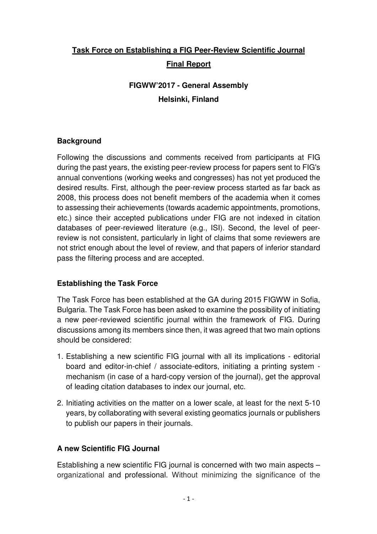# **Task Force on Establishing a FIG Peer-Review Scientific Journal Final Report**

# **FIGWW'2017 - General Assembly Helsinki, Finland**

## **Background**

Following the discussions and comments received from participants at FIG during the past years, the existing peer-review process for papers sent to FIG's annual conventions (working weeks and congresses) has not yet produced the desired results. First, although the peer-review process started as far back as 2008, this process does not benefit members of the academia when it comes to assessing their achievements (towards academic appointments, promotions, etc.) since their accepted publications under FIG are not indexed in citation databases of peer-reviewed literature (e.g., ISI). Second, the level of peerreview is not consistent, particularly in light of claims that some reviewers are not strict enough about the level of review, and that papers of inferior standard pass the filtering process and are accepted.

## **Establishing the Task Force**

The Task Force has been established at the GA during 2015 FIGWW in Sofia, Bulgaria. The Task Force has been asked to examine the possibility of initiating a new peer-reviewed scientific journal within the framework of FIG. During discussions among its members since then, it was agreed that two main options should be considered:

- 1. Establishing a new scientific FIG journal with all its implications editorial board and editor-in-chief / associate-editors, initiating a printing system mechanism (in case of a hard-copy version of the journal), get the approval of leading citation databases to index our journal, etc.
- 2. Initiating activities on the matter on a lower scale, at least for the next 5-10 years, by collaborating with several existing geomatics journals or publishers to publish our papers in their journals.

## **A new Scientific FIG Journal**

Establishing a new scientific FIG journal is concerned with two main aspects – organizational and professional. Without minimizing the significance of the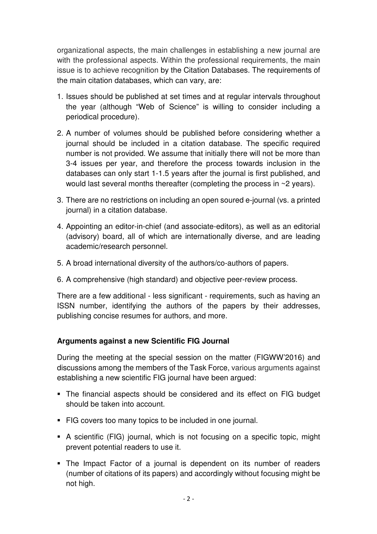organizational aspects, the main challenges in establishing a new journal are with the professional aspects. Within the professional requirements, the main issue is to achieve recognition by the Citation Databases. The requirements of the main citation databases, which can vary, are:

- 1. Issues should be published at set times and at regular intervals throughout the year (although "Web of Science" is willing to consider including a periodical procedure).
- 2. A number of volumes should be published before considering whether a journal should be included in a citation database. The specific required number is not provided. We assume that initially there will not be more than 3-4 issues per year, and therefore the process towards inclusion in the databases can only start 1-1.5 years after the journal is first published, and would last several months thereafter (completing the process in ~2 years).
- 3. There are no restrictions on including an open soured e-journal (vs. a printed journal) in a citation database.
- 4. Appointing an editor-in-chief (and associate-editors), as well as an editorial (advisory) board, all of which are internationally diverse, and are leading academic/research personnel.
- 5. A broad international diversity of the authors/co-authors of papers.
- 6. A comprehensive (high standard) and objective peer-review process.

There are a few additional - less significant - requirements, such as having an ISSN number, identifying the authors of the papers by their addresses, publishing concise resumes for authors, and more.

## **Arguments against a new Scientific FIG Journal**

During the meeting at the special session on the matter (FIGWW'2016) and discussions among the members of the Task Force, various arguments against establishing a new scientific FIG journal have been argued:

- The financial aspects should be considered and its effect on FIG budget should be taken into account.
- FIG covers too many topics to be included in one journal.
- A scientific (FIG) journal, which is not focusing on a specific topic, might prevent potential readers to use it.
- The Impact Factor of a journal is dependent on its number of readers (number of citations of its papers) and accordingly without focusing might be not high.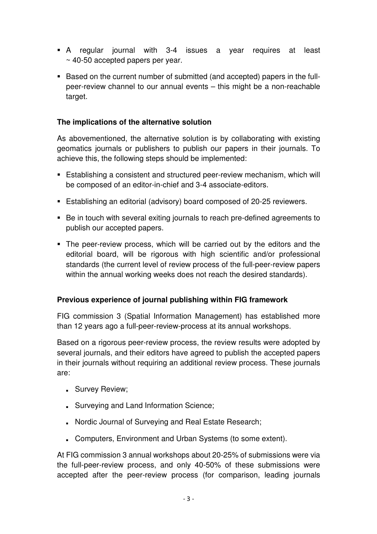- A regular journal with 3-4 issues a year requires at least ~ 40-50 accepted papers per year.
- Based on the current number of submitted (and accepted) papers in the fullpeer-review channel to our annual events – this might be a non-reachable target.

### **The implications of the alternative solution**

As abovementioned, the alternative solution is by collaborating with existing geomatics journals or publishers to publish our papers in their journals. To achieve this, the following steps should be implemented:

- **Establishing a consistent and structured peer-review mechanism, which will** be composed of an editor-in-chief and 3-4 associate-editors.
- Establishing an editorial (advisory) board composed of 20-25 reviewers.
- Be in touch with several exiting journals to reach pre-defined agreements to publish our accepted papers.
- The peer-review process, which will be carried out by the editors and the editorial board, will be rigorous with high scientific and/or professional standards (the current level of review process of the full-peer-review papers within the annual working weeks does not reach the desired standards).

#### **Previous experience of journal publishing within FIG framework**

FIG commission 3 (Spatial Information Management) has established more than 12 years ago a full-peer-review-process at its annual workshops.

Based on a rigorous peer-review process, the review results were adopted by several journals, and their editors have agreed to publish the accepted papers in their journals without requiring an additional review process. These journals are:

- Survey Review;
- **Burveying and Land Information Science;**
- Detailstand Digital and Real Estate Research; Nordic Journal of Surveying and Real Estate Research;
- Computers, Environment and Urban Systems (to some extent).

At FIG commission 3 annual workshops about 20-25% of submissions were via the full-peer-review process, and only 40-50% of these submissions were accepted after the peer-review process (for comparison, leading journals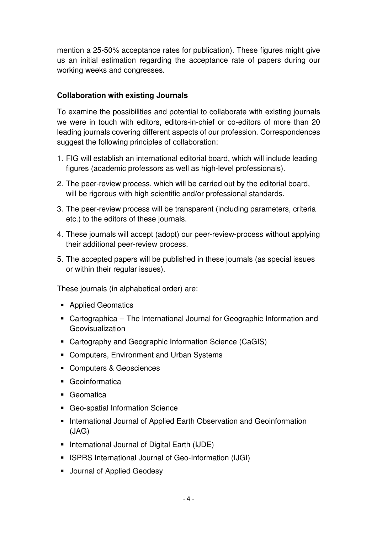mention a 25-50% acceptance rates for publication). These figures might give us an initial estimation regarding the acceptance rate of papers during our working weeks and congresses.

### **Collaboration with existing Journals**

To examine the possibilities and potential to collaborate with existing journals we were in touch with editors, editors-in-chief or co-editors of more than 20 leading journals covering different aspects of our profession. Correspondences suggest the following principles of collaboration:

- 1. FIG will establish an international editorial board, which will include leading figures (academic professors as well as high-level professionals).
- 2. The peer-review process, which will be carried out by the editorial board, will be rigorous with high scientific and/or professional standards.
- 3. The peer-review process will be transparent (including parameters, criteria etc.) to the editors of these journals.
- 4. These journals will accept (adopt) our peer-review-process without applying their additional peer-review process.
- 5. The accepted papers will be published in these journals (as special issues or within their regular issues).

These journals (in alphabetical order) are:

- **Applied Geomatics**
- Cartographica -- The International Journal for Geographic Information and Geovisualization
- Cartography and Geographic Information Science (CaGIS)
- Computers, Environment and Urban Systems
- Computers & Geosciences
- Geoinformatica
- Geomatica
- Geo-spatial Information Science
- **International Journal of Applied Earth Observation and Geoinformation** (JAG)
- **International Journal of Digital Earth (IJDE)**
- **ISPRS International Journal of Geo-Information (IJGI)**
- **Journal of Applied Geodesy**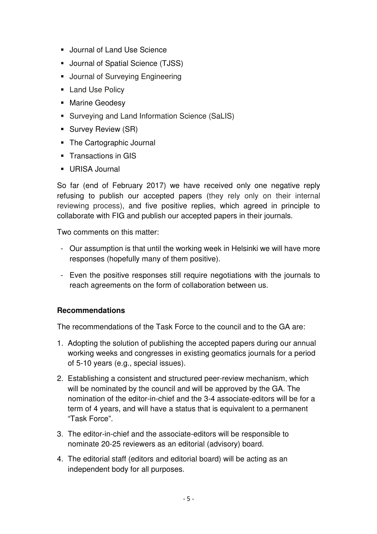- **Journal of Land Use Science**
- Journal of Spatial Science (TJSS)
- **Journal of Surveying Engineering**
- **Land Use Policy**
- **Marine Geodesy**
- Surveying and Land Information Science (SaLIS)
- **Survey Review (SR)**
- The Cartographic Journal
- **Transactions in GIS**
- URISA Journal

So far (end of February 2017) we have received only one negative reply refusing to publish our accepted papers (they rely only on their internal reviewing process), and five positive replies, which agreed in principle to collaborate with FIG and publish our accepted papers in their journals.

Two comments on this matter:

- Our assumption is that until the working week in Helsinki we will have more responses (hopefully many of them positive).
- Even the positive responses still require negotiations with the journals to reach agreements on the form of collaboration between us.

#### **Recommendations**

The recommendations of the Task Force to the council and to the GA are:

- 1. Adopting the solution of publishing the accepted papers during our annual working weeks and congresses in existing geomatics journals for a period of 5-10 years (e.g., special issues).
- 2. Establishing a consistent and structured peer-review mechanism, which will be nominated by the council and will be approved by the GA. The nomination of the editor-in-chief and the 3-4 associate-editors will be for a term of 4 years, and will have a status that is equivalent to a permanent "Task Force".
- 3. The editor-in-chief and the associate-editors will be responsible to nominate 20-25 reviewers as an editorial (advisory) board.
- 4. The editorial staff (editors and editorial board) will be acting as an independent body for all purposes.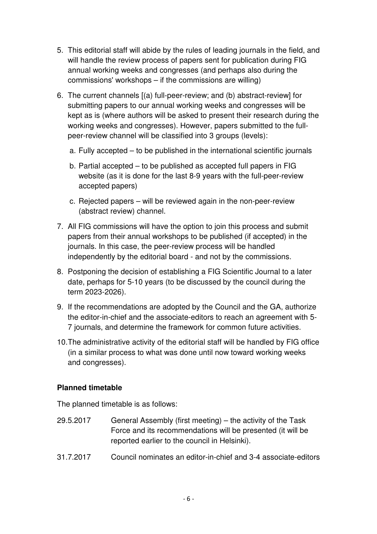- 5. This editorial staff will abide by the rules of leading journals in the field, and will handle the review process of papers sent for publication during FIG annual working weeks and congresses (and perhaps also during the commissions' workshops – if the commissions are willing)
- 6. The current channels [(a) full-peer-review; and (b) abstract-review] for submitting papers to our annual working weeks and congresses will be kept as is (where authors will be asked to present their research during the working weeks and congresses). However, papers submitted to the fullpeer-review channel will be classified into 3 groups (levels):
	- a. Fully accepted to be published in the international scientific journals
	- b. Partial accepted to be published as accepted full papers in FIG website (as it is done for the last 8-9 years with the full-peer-review accepted papers)
	- c. Rejected papers will be reviewed again in the non-peer-review (abstract review) channel.
- 7. All FIG commissions will have the option to join this process and submit papers from their annual workshops to be published (if accepted) in the journals. In this case, the peer-review process will be handled independently by the editorial board - and not by the commissions.
- 8. Postponing the decision of establishing a FIG Scientific Journal to a later date, perhaps for 5-10 years (to be discussed by the council during the term 2023-2026).
- 9. If the recommendations are adopted by the Council and the GA, authorize the editor-in-chief and the associate-editors to reach an agreement with 5- 7 journals, and determine the framework for common future activities.
- 10. The administrative activity of the editorial staff will be handled by FIG office (in a similar process to what was done until now toward working weeks and congresses).

## **Planned timetable**

The planned timetable is as follows:

- 29.5.2017 General Assembly (first meeting) the activity of the Task Force and its recommendations will be presented (it will be reported earlier to the council in Helsinki).
- 31.7.2017 Council nominates an editor-in-chief and 3-4 associate-editors